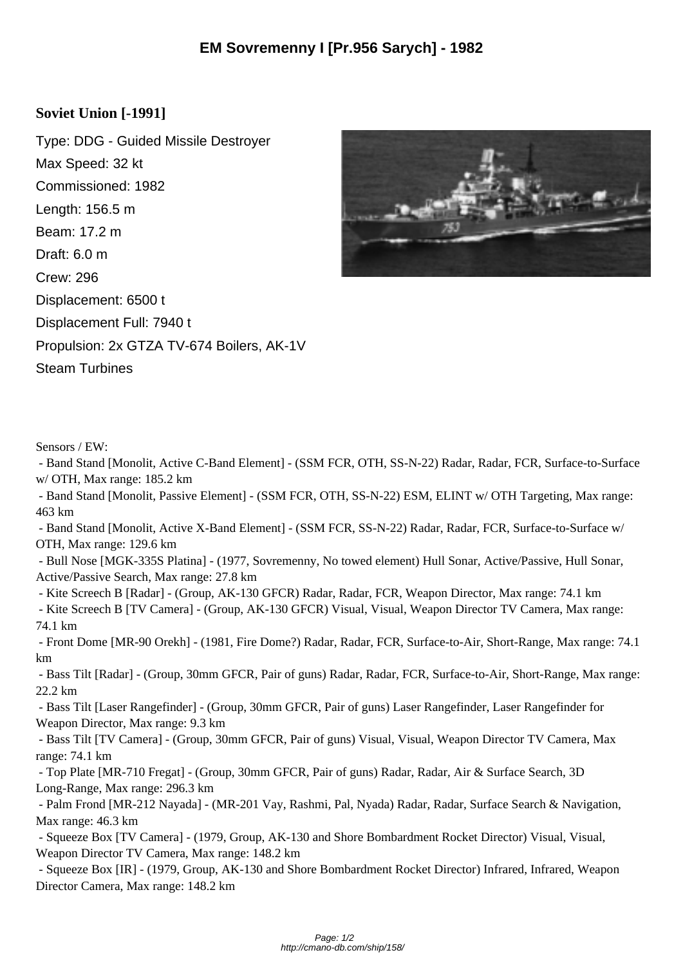## **Soviet Union [-1991]**

Type: DDG - Guided Missile Destroyer Max Speed: 32 kt Commissioned: 1982 Length: 156.5 m Beam: 17.2 m Draft: 6.0 m Crew: 296 Displacement: 6500 t Displacement Full: 7940 t Propulsion: 2x GTZA TV-674 Boilers, AK-1V Steam Turbines



Sensors / EW:

 - Band Stand [Monolit, Active C-Band Element] - (SSM FCR, OTH, SS-N-22) Radar, Radar, FCR, Surface-to-Surface w/ OTH, Max range: 185.2 km

 - Band Stand [Monolit, Passive Element] - (SSM FCR, OTH, SS-N-22) ESM, ELINT w/ OTH Targeting, Max range: 463 km

 - Band Stand [Monolit, Active X-Band Element] - (SSM FCR, SS-N-22) Radar, Radar, FCR, Surface-to-Surface w/ OTH, Max range: 129.6 km

 - Bull Nose [MGK-335S Platina] - (1977, Sovremenny, No towed element) Hull Sonar, Active/Passive, Hull Sonar, Active/Passive Search, Max range: 27.8 km

- Kite Screech B [Radar] - (Group, AK-130 GFCR) Radar, Radar, FCR, Weapon Director, Max range: 74.1 km

 - Kite Screech B [TV Camera] - (Group, AK-130 GFCR) Visual, Visual, Weapon Director TV Camera, Max range: 74.1 km

 - Front Dome [MR-90 Orekh] - (1981, Fire Dome?) Radar, Radar, FCR, Surface-to-Air, Short-Range, Max range: 74.1 km

 - Bass Tilt [Radar] - (Group, 30mm GFCR, Pair of guns) Radar, Radar, FCR, Surface-to-Air, Short-Range, Max range: 22.2 km

 - Bass Tilt [Laser Rangefinder] - (Group, 30mm GFCR, Pair of guns) Laser Rangefinder, Laser Rangefinder for Weapon Director, Max range: 9.3 km

 - Bass Tilt [TV Camera] - (Group, 30mm GFCR, Pair of guns) Visual, Visual, Weapon Director TV Camera, Max range: 74.1 km

 - Top Plate [MR-710 Fregat] - (Group, 30mm GFCR, Pair of guns) Radar, Radar, Air & Surface Search, 3D Long-Range, Max range: 296.3 km

 - Palm Frond [MR-212 Nayada] - (MR-201 Vay, Rashmi, Pal, Nyada) Radar, Radar, Surface Search & Navigation, Max range: 46.3 km

 - Squeeze Box [TV Camera] - (1979, Group, AK-130 and Shore Bombardment Rocket Director) Visual, Visual, Weapon Director TV Camera, Max range: 148.2 km

 - Squeeze Box [IR] - (1979, Group, AK-130 and Shore Bombardment Rocket Director) Infrared, Infrared, Weapon Director Camera, Max range: 148.2 km